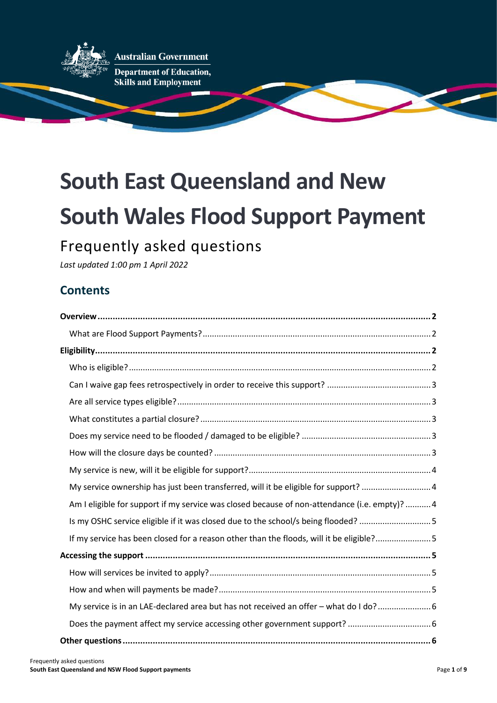

**Australian Government** 

Department of Education, **Skills and Employment** 

# **South East Queensland and New South Wales Flood Support Payment**

## Frequently asked questions

*Last updated 1:00 pm 1 April 2022*

## **Contents**

| My service ownership has just been transferred, will it be eligible for support? 4            |
|-----------------------------------------------------------------------------------------------|
| Am I eligible for support if my service was closed because of non-attendance (i.e. empty)?  4 |
| Is my OSHC service eligible if it was closed due to the school/s being flooded? 5             |
| If my service has been closed for a reason other than the floods, will it be eligible?5       |
|                                                                                               |
|                                                                                               |
|                                                                                               |
| My service is in an LAE-declared area but has not received an offer - what do I do? 6         |
|                                                                                               |
|                                                                                               |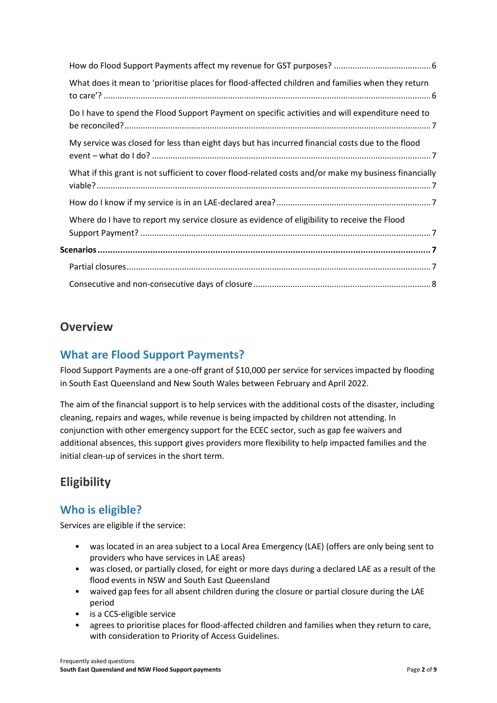| What does it mean to 'prioritise places for flood-affected children and families when they return     |  |
|-------------------------------------------------------------------------------------------------------|--|
| Do I have to spend the Flood Support Payment on specific activities and will expenditure need to      |  |
| My service was closed for less than eight days but has incurred financial costs due to the flood      |  |
| What if this grant is not sufficient to cover flood-related costs and/or make my business financially |  |
|                                                                                                       |  |
| Where do I have to report my service closure as evidence of eligibility to receive the Flood          |  |
|                                                                                                       |  |
|                                                                                                       |  |
|                                                                                                       |  |

## <span id="page-1-0"></span>**Overview**

## <span id="page-1-1"></span>**What are Flood Support Payments?**

Flood Support Payments are a one-off grant of \$10,000 per service for services impacted by flooding in South East Queensland and New South Wales between February and April 2022.

The aim of the financial support is to help services with the additional costs of the disaster, including cleaning, repairs and wages, while revenue is being impacted by children not attending. In conjunction with other emergency support for the ECEC sector, such as gap fee waivers and additional absences, this support gives providers more flexibility to help impacted families and the initial clean-up of services in the short term.

## <span id="page-1-2"></span>**Eligibility**

## <span id="page-1-3"></span>**Who is eligible?**

Services are eligible if the service:

- was located in an area subject to a Local Area Emergency (LAE) (offers are only being sent to providers who have services in LAE areas)
- was closed, or partially closed, for eight or more days during a declared LAE as a result of the flood events in NSW and South East Queensland
- waived gap fees for all absent children during the closure or partial closure during the LAE period
- is a CCS-eligible service
- agrees to prioritise places for flood-affected children and families when they return to care, with consideration to Priority of Access Guidelines.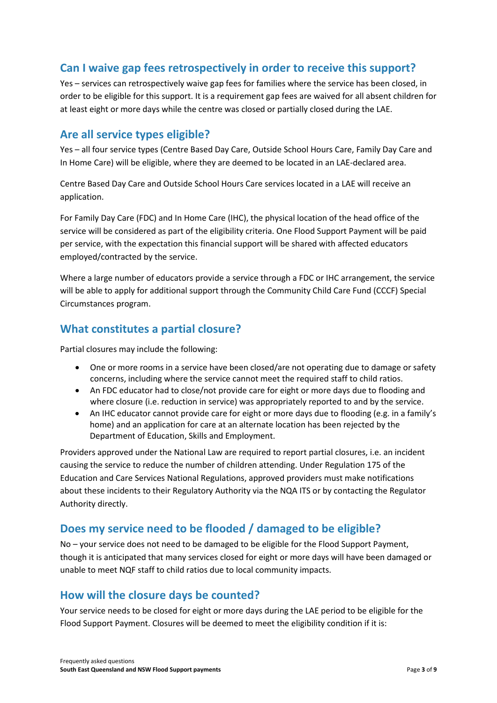## <span id="page-2-0"></span>**Can I waive gap fees retrospectively in order to receive this support?**

Yes – services can retrospectively waive gap fees for families where the service has been closed, in order to be eligible for this support. It is a requirement gap fees are waived for all absent children for at least eight or more days while the centre was closed or partially closed during the LAE.

#### <span id="page-2-1"></span>**Are all service types eligible?**

Yes – all four service types (Centre Based Day Care, Outside School Hours Care, Family Day Care and In Home Care) will be eligible, where they are deemed to be located in an LAE-declared area.

Centre Based Day Care and Outside School Hours Care services located in a LAE will receive an application.

For Family Day Care (FDC) and In Home Care (IHC), the physical location of the head office of the service will be considered as part of the eligibility criteria. One Flood Support Payment will be paid per service, with the expectation this financial support will be shared with affected educators employed/contracted by the service.

Where a large number of educators provide a service through a FDC or IHC arrangement, the service will be able to apply for additional support through the Community Child Care Fund (CCCF) Special Circumstances program.

## <span id="page-2-2"></span>**What constitutes a partial closure?**

Partial closures may include the following:

- One or more rooms in a service have been closed/are not operating due to damage or safety concerns, including where the service cannot meet the required staff to child ratios.
- An FDC educator had to close/not provide care for eight or more days due to flooding and where closure (i.e. reduction in service) was appropriately reported to and by the service.
- An IHC educator cannot provide care for eight or more days due to flooding (e.g. in a family's home) and an application for care at an alternate location has been rejected by the Department of Education, Skills and Employment.

Providers approved under the National Law are required to report partial closures, i.e. an incident causing the service to reduce the number of children attending. Under Regulation 175 of the Education and Care Services National Regulations, approved providers must make notifications about these incidents to their Regulatory Authority via the NQA ITS or by contacting the Regulator Authority directly.

## <span id="page-2-3"></span>**Does my service need to be flooded / damaged to be eligible?**

No – your service does not need to be damaged to be eligible for the Flood Support Payment, though it is anticipated that many services closed for eight or more days will have been damaged or unable to meet NQF staff to child ratios due to local community impacts.

#### <span id="page-2-4"></span>**How will the closure days be counted?**

Your service needs to be closed for eight or more days during the LAE period to be eligible for the Flood Support Payment. Closures will be deemed to meet the eligibility condition if it is: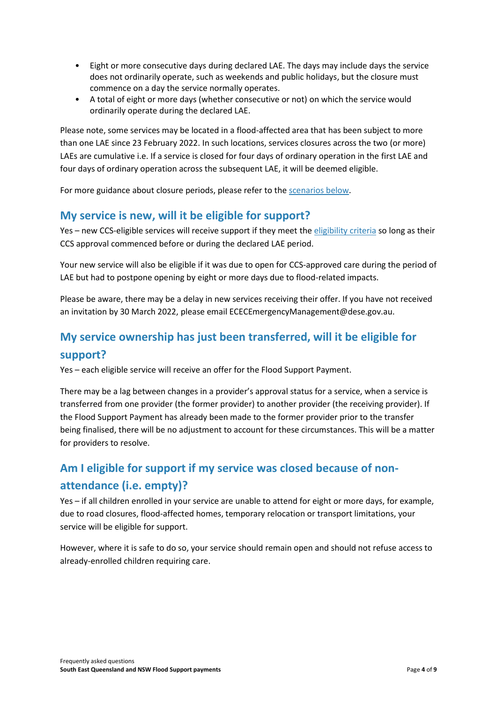- Eight or more consecutive days during declared LAE. The days may include days the service does not ordinarily operate, such as weekends and public holidays, but the closure must commence on a day the service normally operates.
- A total of eight or more days (whether consecutive or not) on which the service would ordinarily operate during the declared LAE.

Please note, some services may be located in a flood-affected area that has been subject to more than one LAE since 23 February 2022. In such locations, services closures across the two (or more) LAEs are cumulative i.e. If a service is closed for four days of ordinary operation in the first LAE and four days of ordinary operation across the subsequent LAE, it will be deemed eligible.

For more guidance about closure periods, please refer to the [scenarios below.](#page-6-5)

## <span id="page-3-0"></span>**My service is new, will it be eligible for support?**

Yes – new CCS-eligible services will receive support if they meet the [eligibility criteria](#page-1-2) so long as their CCS approval commenced before or during the declared LAE period.

Your new service will also be eligible if it was due to open for CCS-approved care during the period of LAE but had to postpone opening by eight or more days due to flood-related impacts.

Please be aware, there may be a delay in new services receiving their offer. If you have not received an invitation by 30 March 2022, please email ECECEmergencyManagement@dese.gov.au.

## <span id="page-3-1"></span>**My service ownership has just been transferred, will it be eligible for support?**

Yes – each eligible service will receive an offer for the Flood Support Payment.

There may be a lag between changes in a provider's approval status for a service, when a service is transferred from one provider (the former provider) to another provider (the receiving provider). If the Flood Support Payment has already been made to the former provider prior to the transfer being finalised, there will be no adjustment to account for these circumstances. This will be a matter for providers to resolve.

## <span id="page-3-2"></span>**Am I eligible for support if my service was closed because of nonattendance (i.e. empty)?**

Yes – if all children enrolled in your service are unable to attend for eight or more days, for example, due to road closures, flood-affected homes, temporary relocation or transport limitations, your service will be eligible for support.

However, where it is safe to do so, your service should remain open and should not refuse access to already-enrolled children requiring care.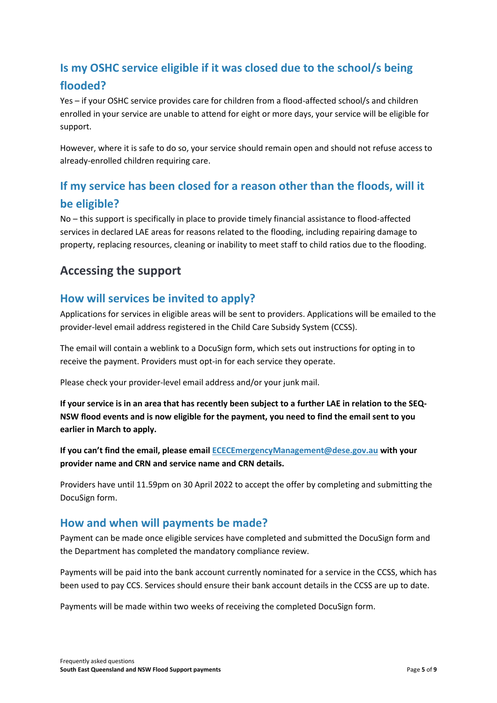## <span id="page-4-0"></span>**Is my OSHC service eligible if it was closed due to the school/s being flooded?**

Yes – if your OSHC service provides care for children from a flood-affected school/s and children enrolled in your service are unable to attend for eight or more days, your service will be eligible for support.

However, where it is safe to do so, your service should remain open and should not refuse access to already-enrolled children requiring care.

## <span id="page-4-1"></span>**If my service has been closed for a reason other than the floods, will it be eligible?**

No – this support is specifically in place to provide timely financial assistance to flood-affected services in declared LAE areas for reasons related to the flooding, including repairing damage to property, replacing resources, cleaning or inability to meet staff to child ratios due to the flooding.

## <span id="page-4-2"></span>**Accessing the support**

## <span id="page-4-3"></span>**How will services be invited to apply?**

Applications for services in eligible areas will be sent to providers. Applications will be emailed to the provider-level email address registered in the Child Care Subsidy System (CCSS).

The email will contain a weblink to a DocuSign form, which sets out instructions for opting in to receive the payment. Providers must opt-in for each service they operate.

Please check your provider-level email address and/or your junk mail.

**If your service is in an area that has recently been subject to a further LAE in relation to the SEQ-NSW flood events and is now eligible for the payment, you need to find the email sent to you earlier in March to apply.** 

**If you can't find the email, please email [ECECEmergencyManagement@dese.gov.au](mailto:ECECEmergencyManagement@dese.gov.au) with your provider name and CRN and service name and CRN details.**

Providers have until 11.59pm on 30 April 2022 to accept the offer by completing and submitting the DocuSign form.

## <span id="page-4-4"></span>**How and when will payments be made?**

Payment can be made once eligible services have completed and submitted the DocuSign form and the Department has completed the mandatory compliance review.

Payments will be paid into the bank account currently nominated for a service in the CCSS, which has been used to pay CCS. Services should ensure their bank account details in the CCSS are up to date.

Payments will be made within two weeks of receiving the completed DocuSign form.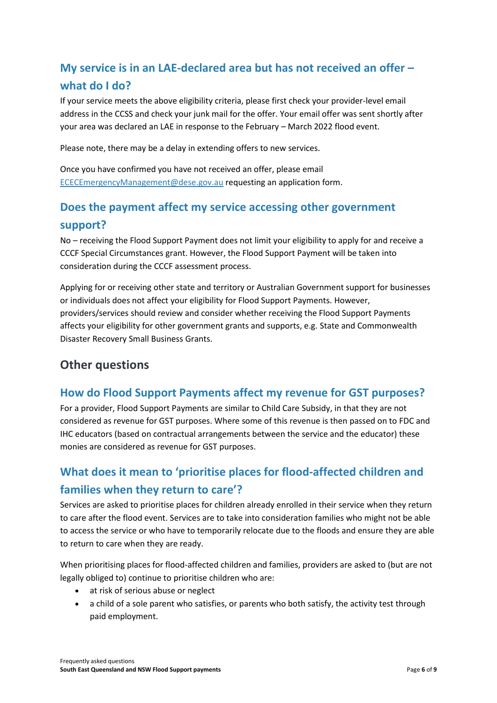## <span id="page-5-0"></span>**My service is in an LAE-declared area but has not received an offer – what do I do?**

If your service meets the above eligibility criteria, please first check your provider-level email address in the CCSS and check your junk mail for the offer. Your email offer was sent shortly after your area was declared an LAE in response to the February – March 2022 flood event.

Please note, there may be a delay in extending offers to new services.

Once you have confirmed you have not received an offer, please email [ECECEmergencyManagement@dese.gov.au](mailto:ECECEmergencyManagement@dese.gov.au) requesting an application form.

## <span id="page-5-1"></span>**Does the payment affect my service accessing other government support?**

No – receiving the Flood Support Payment does not limit your eligibility to apply for and receive a CCCF Special Circumstances grant. However, the Flood Support Payment will be taken into consideration during the CCCF assessment process.

Applying for or receiving other state and territory or Australian Government support for businesses or individuals does not affect your eligibility for Flood Support Payments. However, providers/services should review and consider whether receiving the Flood Support Payments affects your eligibility for other government grants and supports, e.g. State and Commonwealth Disaster Recovery Small Business Grants.

## <span id="page-5-2"></span>**Other questions**

## <span id="page-5-3"></span>**How do Flood Support Payments affect my revenue for GST purposes?**

For a provider, Flood Support Payments are similar to Child Care Subsidy, in that they are not considered as revenue for GST purposes. Where some of this revenue is then passed on to FDC and IHC educators (based on contractual arrangements between the service and the educator) these monies are considered as revenue for GST purposes.

## <span id="page-5-4"></span>**What does it mean to 'prioritise places for flood-affected children and families when they return to care'?**

Services are asked to prioritise places for children already enrolled in their service when they return to care after the flood event. Services are to take into consideration families who might not be able to access the service or who have to temporarily relocate due to the floods and ensure they are able to return to care when they are ready.

When prioritising places for flood-affected children and families, providers are asked to (but are not legally obliged to) continue to prioritise children who are:

- at risk of serious abuse or neglect
- a child of a sole parent who satisfies, or parents who both satisfy, the activity test through paid employment.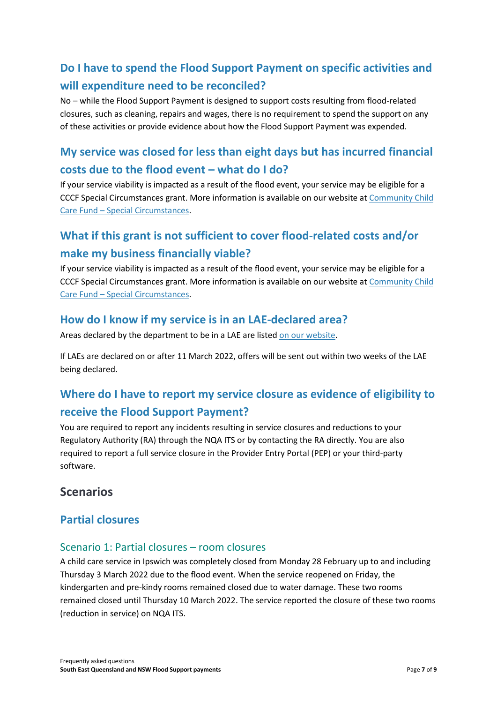## <span id="page-6-0"></span>**Do I have to spend the Flood Support Payment on specific activities and will expenditure need to be reconciled?**

No – while the Flood Support Payment is designed to support costs resulting from flood-related closures, such as cleaning, repairs and wages, there is no requirement to spend the support on any of these activities or provide evidence about how the Flood Support Payment was expended.

## <span id="page-6-1"></span>**My service was closed for less than eight days but has incurred financial costs due to the flood event – what do I do?**

If your service viability is impacted as a result of the flood event, your service may be eligible for a CCCF Special Circumstances grant. More information is available on our website at [Community Child](https://www.dese.gov.au/community-child-care-fund/special-circumstances)  Care Fund – [Special Circumstances.](https://www.dese.gov.au/community-child-care-fund/special-circumstances)

## <span id="page-6-2"></span>**What if this grant is not sufficient to cover flood-related costs and/or make my business financially viable?**

If your service viability is impacted as a result of the flood event, your service may be eligible for a CCCF Special Circumstances grant. More information is available on our website at [Community Child](https://www.dese.gov.au/community-child-care-fund/special-circumstances)  Care Fund – [Special Circumstances.](https://www.dese.gov.au/community-child-care-fund/special-circumstances)

## <span id="page-6-3"></span>**How do I know if my service is in an LAE-declared area?**

Areas declared by the department to be in a LAE are liste[d on our website.](https://www.dese.gov.au/child-care-package/ccp-resources-providers/help-emergency/local-area-emergencies-early-childhood-sector)

If LAEs are declared on or after 11 March 2022, offers will be sent out within two weeks of the LAE being declared.

## <span id="page-6-4"></span>**Where do I have to report my service closure as evidence of eligibility to receive the Flood Support Payment?**

You are required to report any incidents resulting in service closures and reductions to your Regulatory Authority (RA) through the NQA ITS or by contacting the RA directly. You are also required to report a full service closure in the Provider Entry Portal (PEP) or your third-party software.

## <span id="page-6-5"></span>**Scenarios**

## <span id="page-6-6"></span>**Partial closures**

#### Scenario 1: Partial closures – room closures

A child care service in Ipswich was completely closed from Monday 28 February up to and including Thursday 3 March 2022 due to the flood event. When the service reopened on Friday, the kindergarten and pre-kindy rooms remained closed due to water damage. These two rooms remained closed until Thursday 10 March 2022. The service reported the closure of these two rooms (reduction in service) on NQA ITS.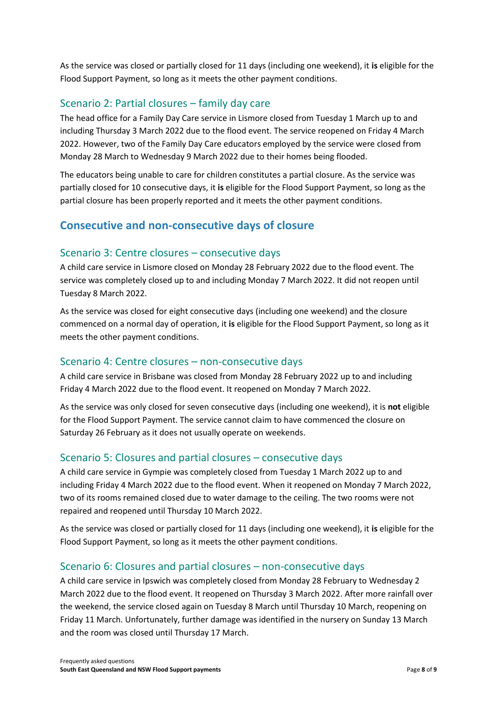As the service was closed or partially closed for 11 days (including one weekend), it **is** eligible for the Flood Support Payment, so long as it meets the other payment conditions.

#### Scenario 2: Partial closures – family day care

The head office for a Family Day Care service in Lismore closed from Tuesday 1 March up to and including Thursday 3 March 2022 due to the flood event. The service reopened on Friday 4 March 2022. However, two of the Family Day Care educators employed by the service were closed from Monday 28 March to Wednesday 9 March 2022 due to their homes being flooded.

The educators being unable to care for children constitutes a partial closure. As the service was partially closed for 10 consecutive days, it **is** eligible for the Flood Support Payment, so long as the partial closure has been properly reported and it meets the other payment conditions.

## <span id="page-7-0"></span>**Consecutive and non-consecutive days of closure**

#### Scenario 3: Centre closures – consecutive days

A child care service in Lismore closed on Monday 28 February 2022 due to the flood event. The service was completely closed up to and including Monday 7 March 2022. It did not reopen until Tuesday 8 March 2022.

As the service was closed for eight consecutive days (including one weekend) and the closure commenced on a normal day of operation, it **is** eligible for the Flood Support Payment, so long as it meets the other payment conditions.

#### Scenario 4: Centre closures – non-consecutive days

A child care service in Brisbane was closed from Monday 28 February 2022 up to and including Friday 4 March 2022 due to the flood event. It reopened on Monday 7 March 2022.

As the service was only closed for seven consecutive days (including one weekend), it is **not** eligible for the Flood Support Payment. The service cannot claim to have commenced the closure on Saturday 26 February as it does not usually operate on weekends.

#### Scenario 5: Closures and partial closures – consecutive days

A child care service in Gympie was completely closed from Tuesday 1 March 2022 up to and including Friday 4 March 2022 due to the flood event. When it reopened on Monday 7 March 2022, two of its rooms remained closed due to water damage to the ceiling. The two rooms were not repaired and reopened until Thursday 10 March 2022.

As the service was closed or partially closed for 11 days (including one weekend), it **is** eligible for the Flood Support Payment, so long as it meets the other payment conditions.

#### Scenario 6: Closures and partial closures – non-consecutive days

A child care service in Ipswich was completely closed from Monday 28 February to Wednesday 2 March 2022 due to the flood event. It reopened on Thursday 3 March 2022. After more rainfall over the weekend, the service closed again on Tuesday 8 March until Thursday 10 March, reopening on Friday 11 March. Unfortunately, further damage was identified in the nursery on Sunday 13 March and the room was closed until Thursday 17 March.